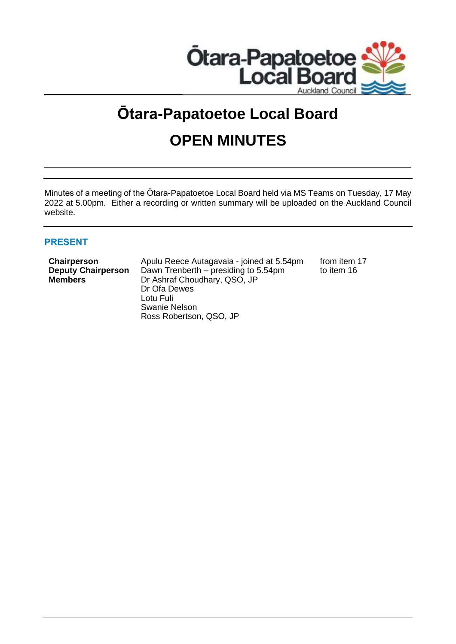

# **Ōtara-Papatoetoe Local Board OPEN MINUTES**

Minutes of a meeting of the Ōtara-Papatoetoe Local Board held via MS Teams on Tuesday, 17 May 2022 at 5.00pm. Either a recording or written summary will be uploaded on the Auckland Council website.

# **PRESENT**

**Chairperson** Apulu Reece Autagavaia - joined at 5.54pm from item 17 **Deputy Chairperson** Dawn Trenberth – presiding to 5.54pm to item 16 **Members** Dr Ashraf Choudhary, QSO, JP Dr Ofa Dewes Lotu Fuli Swanie Nelson Ross Robertson, QSO, JP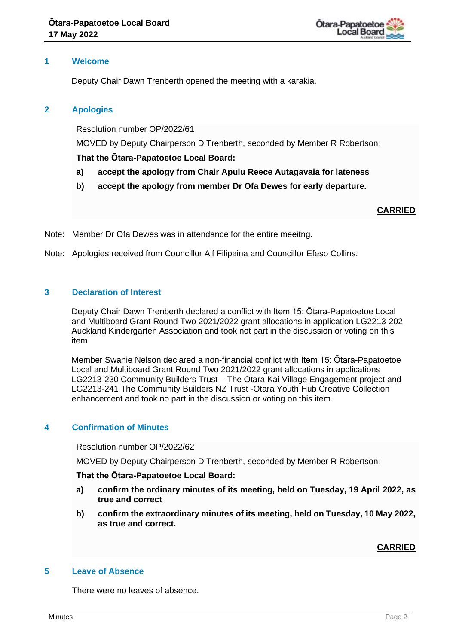

# **1 Welcome**

Deputy Chair Dawn Trenberth opened the meeting with a karakia.

# **2 Apologies**

Resolution number OP/2022/61

MOVED by Deputy Chairperson D Trenberth, seconded by Member R Robertson:

**That the Ōtara-Papatoetoe Local Board:**

- **a) accept the apology from Chair Apulu Reece Autagavaia for lateness**
- **b) accept the apology from member Dr Ofa Dewes for early departure.**

## **CARRIED**

Note: Member Dr Ofa Dewes was in attendance for the entire meeitng.

Note: Apologies received from Councillor Alf Filipaina and Councillor Efeso Collins.

# **3 Declaration of Interest**

Deputy Chair Dawn Trenberth declared a conflict with Item 15: Ōtara-Papatoetoe Local and Multiboard Grant Round Two 2021/2022 grant allocations in application LG2213-202 Auckland Kindergarten Association and took not part in the discussion or voting on this item.

Member Swanie Nelson declared a non-financial conflict with Item 15: Ōtara-Papatoetoe Local and Multiboard Grant Round Two 2021/2022 grant allocations in applications LG2213-230 Community Builders Trust – The Otara Kai Village Engagement project and LG2213-241 The Community Builders NZ Trust -Otara Youth Hub Creative Collection enhancement and took no part in the discussion or voting on this item.

# **4 Confirmation of Minutes**

Resolution number OP/2022/62

MOVED by Deputy Chairperson D Trenberth, seconded by Member R Robertson:

## **That the Ōtara-Papatoetoe Local Board:**

- **a) confirm the ordinary minutes of its meeting, held on Tuesday, 19 April 2022, as true and correct**
- **b) confirm the extraordinary minutes of its meeting, held on Tuesday, 10 May 2022, as true and correct.**

# **CARRIED**

## **5 Leave of Absence**

There were no leaves of absence.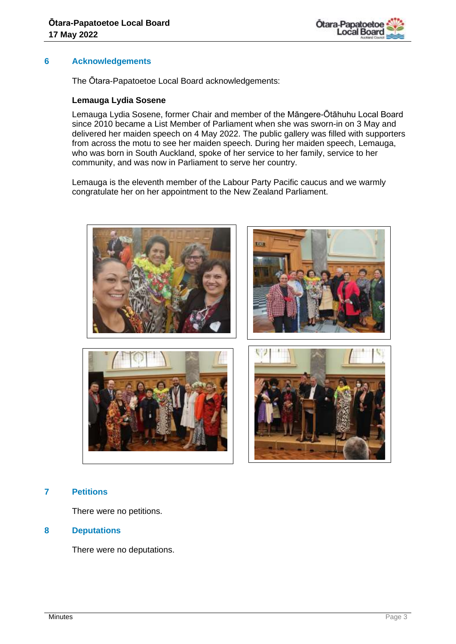

# **6 Acknowledgements**

The Ōtara-Papatoetoe Local Board acknowledgements:

## **Lemauga Lydia Sosene**

Lemauga Lydia Sosene, former Chair and member of the Māngere-Ōtāhuhu Local Board since 2010 became a List Member of Parliament when she was sworn-in on 3 May and delivered her maiden speech on 4 May 2022. The public gallery was filled with supporters from across the motu to see her maiden speech. During her maiden speech, Lemauga, who was born in South Auckland, spoke of her service to her family, service to her community, and was now in Parliament to serve her country.

Lemauga is the eleventh member of the Labour Party Pacific caucus and we warmly congratulate her on her appointment to the New Zealand Parliament.



# **7 Petitions**

There were no petitions.

## **8 Deputations**

There were no deputations.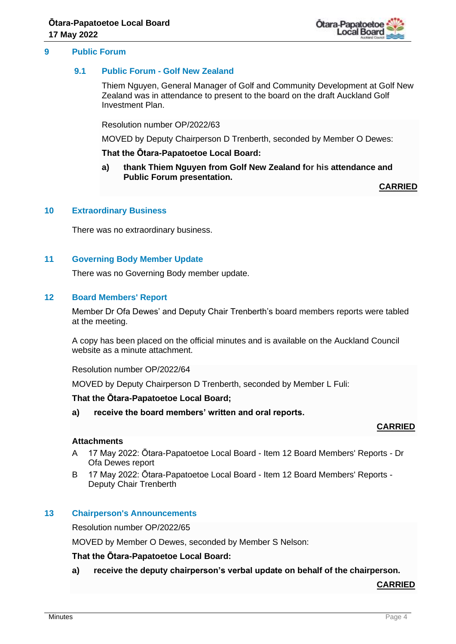

# **9.1 Public Forum - Golf New Zealand**

Thiem Nguyen, General Manager of Golf and Community Development at Golf New Zealand was in attendance to present to the board on the draft Auckland Golf Investment Plan.

Resolution number OP/2022/63

MOVED by Deputy Chairperson D Trenberth, seconded by Member O Dewes:

## **That the Ōtara-Papatoetoe Local Board:**

**a) thank Thiem Nguyen from Golf New Zealand for his attendance and Public Forum presentation.**

**CARRIED**

# **10 Extraordinary Business**

There was no extraordinary business.

# **11 Governing Body Member Update**

There was no Governing Body member update.

# **12 Board Members' Report**

Member Dr Ofa Dewes' and Deputy Chair Trenberth's board members reports were tabled at the meeting.

A copy has been placed on the official minutes and is available on the Auckland Council website as a minute attachment.

Resolution number OP/2022/64

MOVED by Deputy Chairperson D Trenberth, seconded by Member L Fuli:

## **That the Ōtara-Papatoetoe Local Board;**

**a) receive the board members' written and oral reports.**

# **CARRIED**

## **Attachments**

- A 17 May 2022: Ōtara-Papatoetoe Local Board Item 12 Board Members' Reports Dr Ofa Dewes report
- B 17 May 2022: Ōtara-Papatoetoe Local Board Item 12 Board Members' Reports Deputy Chair Trenberth

# **13 Chairperson's Announcements**

Resolution number OP/2022/65

MOVED by Member O Dewes, seconded by Member S Nelson:

## **That the Ōtara-Papatoetoe Local Board:**

**a) receive the deputy chairperson's verbal update on behalf of the chairperson.**

**CARRIED**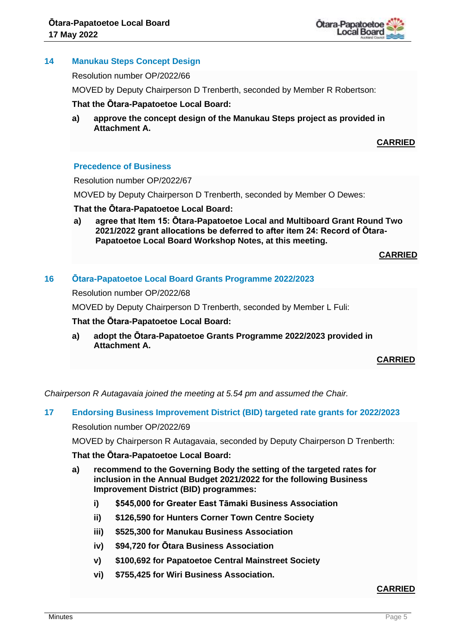

# **14 Manukau Steps Concept Design**

Resolution number OP/2022/66

MOVED by Deputy Chairperson D Trenberth, seconded by Member R Robertson:

## **That the Ōtara-Papatoetoe Local Board:**

**a) approve the concept design of the Manukau Steps project as provided in Attachment A.**

# **CARRIED**

# **Precedence of Business**

Resolution number OP/2022/67

MOVED by Deputy Chairperson D Trenberth, seconded by Member O Dewes:

#### **That the Ōtara-Papatoetoe Local Board:**

**a) agree that Item 15: Ōtara-Papatoetoe Local and Multiboard Grant Round Two 2021/2022 grant allocations be deferred to after item 24: Record of Ōtara-Papatoetoe Local Board Workshop Notes, at this meeting.**

**CARRIED**

# **16 Ōtara-Papatoetoe Local Board Grants Programme 2022/2023**

Resolution number OP/2022/68

MOVED by Deputy Chairperson D Trenberth, seconded by Member L Fuli:

#### **That the Ōtara-Papatoetoe Local Board:**

**a) adopt the Ōtara-Papatoetoe Grants Programme 2022/2023 provided in Attachment A.**

**CARRIED**

*Chairperson R Autagavaia joined the meeting at 5.54 pm and assumed the Chair.*

## **17 Endorsing Business Improvement District (BID) targeted rate grants for 2022/2023**

Resolution number OP/2022/69

MOVED by Chairperson R Autagavaia, seconded by Deputy Chairperson D Trenberth:

#### **That the Ōtara-Papatoetoe Local Board:**

- **a) recommend to the Governing Body the setting of the targeted rates for inclusion in the Annual Budget 2021/2022 for the following Business Improvement District (BID) programmes:**
	- **i) \$545,000 for Greater East Tāmaki Business Association**
	- **ii) \$126,590 for Hunters Corner Town Centre Society**
	- **iii) \$525,300 for Manukau Business Association**
	- **iv) \$94,720 for Ōtara Business Association**
	- **v) \$100,692 for Papatoetoe Central Mainstreet Society**
	- **vi) \$755,425 for Wiri Business Association.**

# **CARRIED**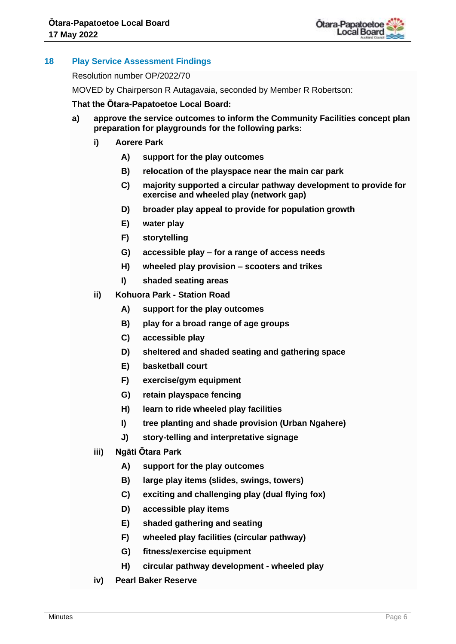

# **18 Play Service Assessment Findings**

Resolution number OP/2022/70

MOVED by Chairperson R Autagavaia, seconded by Member R Robertson:

## **That the Ōtara-Papatoetoe Local Board:**

- **a) approve the service outcomes to inform the Community Facilities concept plan preparation for playgrounds for the following parks:**
	- **i) Aorere Park** 
		- **A) support for the play outcomes**
		- **B) relocation of the playspace near the main car park**
		- **C) majority supported a circular pathway development to provide for exercise and wheeled play (network gap)**
		- **D) broader play appeal to provide for population growth**
		- **E) water play**
		- **F) storytelling**
		- **G) accessible play – for a range of access needs**
		- **H) wheeled play provision – scooters and trikes**
		- **I) shaded seating areas**
	- **ii) Kohuora Park - Station Road** 
		- **A) support for the play outcomes**
		- **B) play for a broad range of age groups**
		- **C) accessible play**
		- **D) sheltered and shaded seating and gathering space**
		- **E) basketball court**
		- **F) exercise/gym equipment**
		- **G) retain playspace fencing**
		- **H) learn to ride wheeled play facilities**
		- **I) tree planting and shade provision (Urban Ngahere)**
		- **J) story-telling and interpretative signage**
	- **iii) Ngāti Ōtara Park**
		- **A) support for the play outcomes**
		- **B) large play items (slides, swings, towers)**
		- **C) exciting and challenging play (dual flying fox)**
		- **D) accessible play items**
		- **E) shaded gathering and seating**
		- **F) wheeled play facilities (circular pathway)**
		- **G) fitness/exercise equipment**
		- **H) circular pathway development - wheeled play**
	- **iv) Pearl Baker Reserve**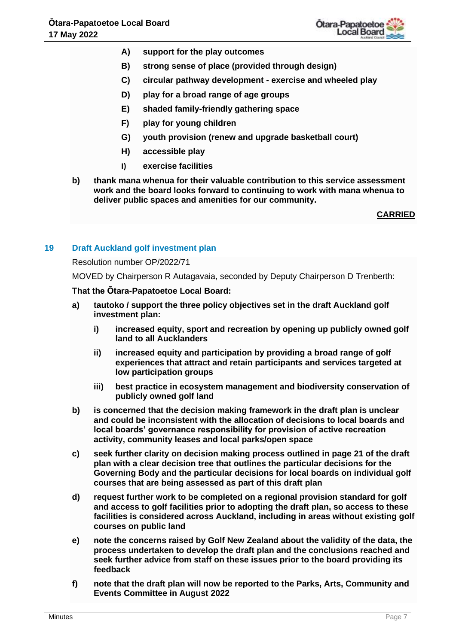

- **A) support for the play outcomes**
- **B) strong sense of place (provided through design)**
- **C) circular pathway development - exercise and wheeled play**
- **D) play for a broad range of age groups**
- **E) shaded family-friendly gathering space**
- **F) play for young children**
- **G) youth provision (renew and upgrade basketball court)**
- **H) accessible play**
- **I) exercise facilities**
- **b) thank mana whenua for their valuable contribution to this service assessment work and the board looks forward to continuing to work with mana whenua to deliver public spaces and amenities for our community.**

**CARRIED**

# **19 Draft Auckland golf investment plan**

## Resolution number OP/2022/71

MOVED by Chairperson R Autagavaia, seconded by Deputy Chairperson D Trenberth:

## **That the Ōtara-Papatoetoe Local Board:**

- **a) tautoko / support the three policy objectives set in the draft Auckland golf investment plan:**
	- **i) increased equity, sport and recreation by opening up publicly owned golf land to all Aucklanders**
	- **ii) increased equity and participation by providing a broad range of golf experiences that attract and retain participants and services targeted at low participation groups**
	- **iii) best practice in ecosystem management and biodiversity conservation of publicly owned golf land**
- **b) is concerned that the decision making framework in the draft plan is unclear and could be inconsistent with the allocation of decisions to local boards and local boards' governance responsibility for provision of active recreation activity, community leases and local parks/open space**
- **c) seek further clarity on decision making process outlined in page 21 of the draft plan with a clear decision tree that outlines the particular decisions for the Governing Body and the particular decisions for local boards on individual golf courses that are being assessed as part of this draft plan**
- **d) request further work to be completed on a regional provision standard for golf and access to golf facilities prior to adopting the draft plan, so access to these facilities is considered across Auckland, including in areas without existing golf courses on public land**
- **e) note the concerns raised by Golf New Zealand about the validity of the data, the process undertaken to develop the draft plan and the conclusions reached and seek further advice from staff on these issues prior to the board providing its feedback**
- **f) note that the draft plan will now be reported to the Parks, Arts, Community and Events Committee in August 2022**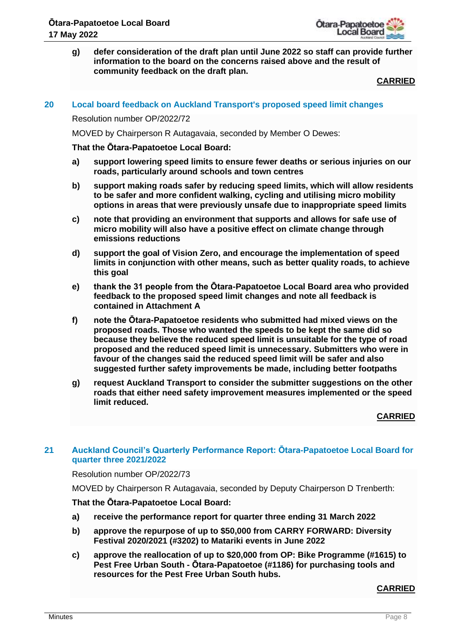

**g) defer consideration of the draft plan until June 2022 so staff can provide further information to the board on the concerns raised above and the result of community feedback on the draft plan.** 

**CARRIED**

## **20 Local board feedback on Auckland Transport's proposed speed limit changes**

## Resolution number OP/2022/72

MOVED by Chairperson R Autagavaia, seconded by Member O Dewes:

#### **That the Ōtara-Papatoetoe Local Board:**

- **a) support lowering speed limits to ensure fewer deaths or serious injuries on our roads, particularly around schools and town centres**
- **b) support making roads safer by reducing speed limits, which will allow residents to be safer and more confident walking, cycling and utilising micro mobility options in areas that were previously unsafe due to inappropriate speed limits**
- **c) note that providing an environment that supports and allows for safe use of micro mobility will also have a positive effect on climate change through emissions reductions**
- **d) support the goal of Vision Zero, and encourage the implementation of speed limits in conjunction with other means, such as better quality roads, to achieve this goal**
- **e) thank the 31 people from the Ōtara-Papatoetoe Local Board area who provided feedback to the proposed speed limit changes and note all feedback is contained in Attachment A**
- **f) note the Ōtara-Papatoetoe residents who submitted had mixed views on the proposed roads. Those who wanted the speeds to be kept the same did so because they believe the reduced speed limit is unsuitable for the type of road proposed and the reduced speed limit is unnecessary. Submitters who were in favour of the changes said the reduced speed limit will be safer and also suggested further safety improvements be made, including better footpaths**
- **g) request Auckland Transport to consider the submitter suggestions on the other roads that either need safety improvement measures implemented or the speed limit reduced.**

## **CARRIED**

# **21 Auckland Council's Quarterly Performance Report: Ōtara-Papatoetoe Local Board for quarter three 2021/2022**

#### Resolution number OP/2022/73

MOVED by Chairperson R Autagavaia, seconded by Deputy Chairperson D Trenberth:

## **That the Ōtara-Papatoetoe Local Board:**

- **a) receive the performance report for quarter three ending 31 March 2022**
- **b) approve the repurpose of up to \$50,000 from CARRY FORWARD: Diversity Festival 2020/2021 (#3202) to Matariki events in June 2022**
- **c) approve the reallocation of up to \$20,000 from OP: Bike Programme (#1615) to Pest Free Urban South - Ōtara-Papatoetoe (#1186) for purchasing tools and resources for the Pest Free Urban South hubs.**

# **CARRIED**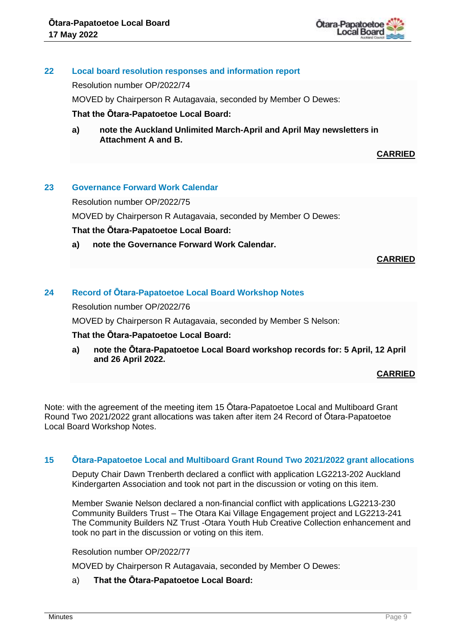

# **22 Local board resolution responses and information report**

Resolution number OP/2022/74

MOVED by Chairperson R Autagavaia, seconded by Member O Dewes:

## **That the Ōtara-Papatoetoe Local Board:**

**a) note the Auckland Unlimited March-April and April May newsletters in Attachment A and B.**

**CARRIED**

# **23 Governance Forward Work Calendar**

Resolution number OP/2022/75

MOVED by Chairperson R Autagavaia, seconded by Member O Dewes:

# **That the Ōtara-Papatoetoe Local Board:**

**a) note the Governance Forward Work Calendar.**

# **CARRIED**

# **24 Record of Ōtara-Papatoetoe Local Board Workshop Notes**

Resolution number OP/2022/76

MOVED by Chairperson R Autagavaia, seconded by Member S Nelson:

## **That the Ōtara-Papatoetoe Local Board:**

**a) note the Ōtara-Papatoetoe Local Board workshop records for: 5 April, 12 April and 26 April 2022.**

## **CARRIED**

Note: with the agreement of the meeting item 15 Ōtara-Papatoetoe Local and Multiboard Grant Round Two 2021/2022 grant allocations was taken after item 24 Record of Ōtara-Papatoetoe Local Board Workshop Notes.

## **15 Ōtara-Papatoetoe Local and Multiboard Grant Round Two 2021/2022 grant allocations**

Deputy Chair Dawn Trenberth declared a conflict with application LG2213-202 Auckland Kindergarten Association and took not part in the discussion or voting on this item.

Member Swanie Nelson declared a non-financial conflict with applications LG2213-230 Community Builders Trust – The Otara Kai Village Engagement project and LG2213-241 The Community Builders NZ Trust -Otara Youth Hub Creative Collection enhancement and took no part in the discussion or voting on this item.

## Resolution number OP/2022/77

MOVED by Chairperson R Autagavaia, seconded by Member O Dewes:

a) **That the Ōtara-Papatoetoe Local Board:**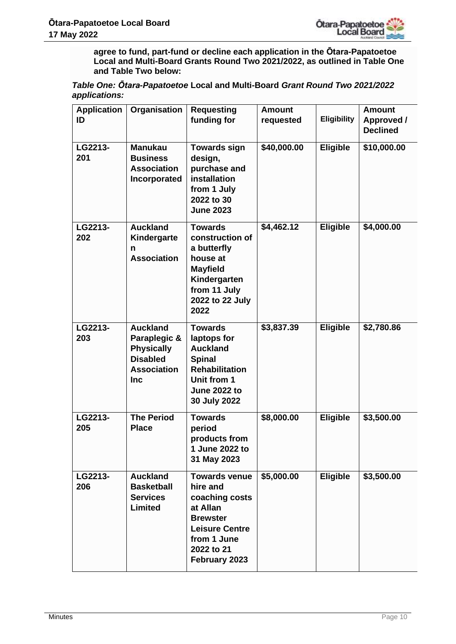

**agree to fund, part-fund or decline each application in the Ōtara-Papatoetoe Local and Multi-Board Grants Round Two 2021/2022, as outlined in Table One and Table Two below:**

| Table One: Otara-Papatoetoe Local and Multi-Board Grant Round Two 2021/2022 |  |
|-----------------------------------------------------------------------------|--|
| applications:                                                               |  |

| <b>Application</b> | Organisation                                                                                                | <b>Requesting</b>                                                                                                                                        | <b>Amount</b> |                 | <b>Amount</b>                 |
|--------------------|-------------------------------------------------------------------------------------------------------------|----------------------------------------------------------------------------------------------------------------------------------------------------------|---------------|-----------------|-------------------------------|
| ID                 |                                                                                                             | funding for                                                                                                                                              | requested     | Eligibility     | Approved /<br><b>Declined</b> |
| LG2213-<br>201     | <b>Manukau</b><br><b>Business</b><br><b>Association</b><br>Incorporated                                     | <b>Towards sign</b><br>design,<br>purchase and<br>installation<br>from 1 July<br>2022 to 30<br><b>June 2023</b>                                          | \$40,000.00   | Eligible        | \$10,000.00                   |
| LG2213-<br>202     | <b>Auckland</b><br>Kindergarte<br>n<br><b>Association</b>                                                   | <b>Towards</b><br>construction of<br>a butterfly<br>house at<br><b>Mayfield</b><br>Kindergarten<br>from 11 July<br>2022 to 22 July<br>2022               | \$4,462.12    | <b>Eligible</b> | \$4,000.00                    |
| LG2213-<br>203     | <b>Auckland</b><br>Paraplegic &<br><b>Physically</b><br><b>Disabled</b><br><b>Association</b><br><b>Inc</b> | <b>Towards</b><br>laptops for<br><b>Auckland</b><br><b>Spinal</b><br><b>Rehabilitation</b><br>Unit from 1<br><b>June 2022 to</b><br>30 July 2022         | \$3,837.39    | Eligible        | \$2,780.86                    |
| LG2213-<br>205     | <b>The Period</b><br><b>Place</b>                                                                           | <b>Towards</b><br>period<br>products from<br>1 June 2022 to<br>31 May 2023                                                                               | \$8,000.00    | Eligible        | \$3,500.00                    |
| LG2213-<br>206     | <b>Auckland</b><br><b>Basketball</b><br><b>Services</b><br><b>Limited</b>                                   | <b>Towards venue</b><br>hire and<br>coaching costs<br>at Allan<br><b>Brewster</b><br><b>Leisure Centre</b><br>from 1 June<br>2022 to 21<br>February 2023 | \$5,000.00    | <b>Eligible</b> | \$3,500.00                    |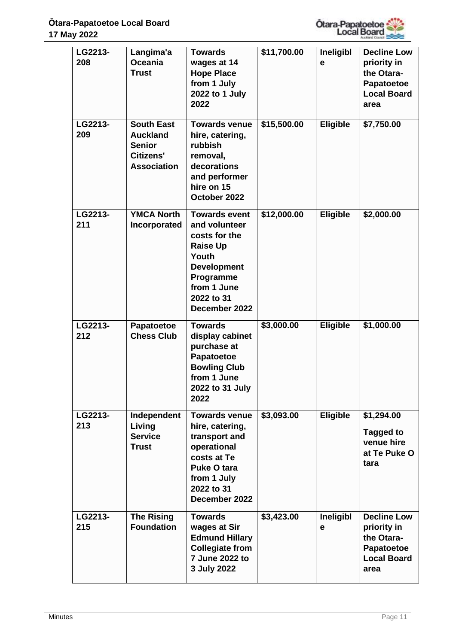

| LG2213-<br>208 | Langima'a<br><b>Oceania</b><br><b>Trust</b>                                              | <b>Towards</b><br>wages at 14<br><b>Hope Place</b><br>from 1 July<br>2022 to 1 July<br>2022                                                                         | \$11,700.00 | Ineligibl<br>е  | <b>Decline Low</b><br>priority in<br>the Otara-<br><b>Papatoetoe</b><br><b>Local Board</b><br>area |
|----------------|------------------------------------------------------------------------------------------|---------------------------------------------------------------------------------------------------------------------------------------------------------------------|-------------|-----------------|----------------------------------------------------------------------------------------------------|
| LG2213-<br>209 | <b>South East</b><br><b>Auckland</b><br><b>Senior</b><br>Citizens'<br><b>Association</b> | <b>Towards venue</b><br>hire, catering,<br><b>rubbish</b><br>removal,<br>decorations<br>and performer<br>hire on 15<br>October 2022                                 | \$15,500.00 | <b>Eligible</b> | \$7,750.00                                                                                         |
| LG2213-<br>211 | <b>YMCA North</b><br>Incorporated                                                        | <b>Towards event</b><br>and volunteer<br>costs for the<br><b>Raise Up</b><br>Youth<br><b>Development</b><br>Programme<br>from 1 June<br>2022 to 31<br>December 2022 | \$12,000.00 | Eligible        | \$2,000.00                                                                                         |
| LG2213-<br>212 | Papatoetoe<br><b>Chess Club</b>                                                          | <b>Towards</b><br>display cabinet<br>purchase at<br><b>Papatoetoe</b><br><b>Bowling Club</b><br>from 1 June<br>2022 to 31 July<br>2022                              | \$3,000.00  | Eligible        | \$1,000.00                                                                                         |
| LG2213-<br>213 | Independent<br>Living<br><b>Service</b><br><b>Trust</b>                                  | <b>Towards venue</b><br>hire, catering,<br>transport and<br>operational<br>costs at Te<br><b>Puke O tara</b><br>from 1 July<br>2022 to 31<br>December 2022          | \$3,093.00  | <b>Eligible</b> | \$1,294.00<br><b>Tagged to</b><br>venue hire<br>at Te Puke O<br>tara                               |
| LG2213-<br>215 | <b>The Rising</b><br><b>Foundation</b>                                                   | <b>Towards</b><br>wages at Sir<br><b>Edmund Hillary</b><br><b>Collegiate from</b><br>7 June 2022 to<br>3 July 2022                                                  | \$3,423.00  | Ineligibl<br>е  | <b>Decline Low</b><br>priority in<br>the Otara-<br><b>Papatoetoe</b><br><b>Local Board</b><br>area |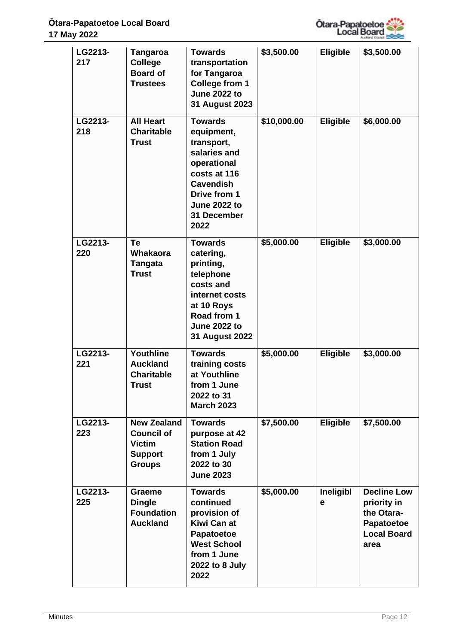

| LG2213-<br>217 | <b>Tangaroa</b><br><b>College</b><br><b>Board of</b><br><b>Trustees</b>                     | <b>Towards</b><br>transportation<br>for Tangaroa<br><b>College from 1</b><br><b>June 2022 to</b><br>31 August 2023                                                          | \$3,500.00  | <b>Eligible</b> | \$3,500.00                                                                                  |
|----------------|---------------------------------------------------------------------------------------------|-----------------------------------------------------------------------------------------------------------------------------------------------------------------------------|-------------|-----------------|---------------------------------------------------------------------------------------------|
| LG2213-<br>218 | <b>All Heart</b><br><b>Charitable</b><br><b>Trust</b>                                       | <b>Towards</b><br>equipment,<br>transport,<br>salaries and<br>operational<br>costs at 116<br><b>Cavendish</b><br>Drive from 1<br><b>June 2022 to</b><br>31 December<br>2022 | \$10,000.00 | Eligible        | \$6,000.00                                                                                  |
| LG2213-<br>220 | Te<br><b>Whakaora</b><br><b>Tangata</b><br><b>Trust</b>                                     | <b>Towards</b><br>catering,<br>printing,<br>telephone<br>costs and<br>internet costs<br>at 10 Roys<br>Road from 1<br><b>June 2022 to</b><br>31 August 2022                  | \$5,000.00  | Eligible        | \$3,000.00                                                                                  |
| LG2213-<br>221 | Youthline<br><b>Auckland</b><br><b>Charitable</b><br>Trust                                  | <b>Towards</b><br>training costs<br>at Youthline<br>from 1 June<br>2022 to 31<br><b>March 2023</b>                                                                          | \$5,000.00  | Eligible        | \$3,000.00                                                                                  |
| LG2213-<br>223 | <b>New Zealand</b><br><b>Council of</b><br><b>Victim</b><br><b>Support</b><br><b>Groups</b> | <b>Towards</b><br>purpose at 42<br><b>Station Road</b><br>from 1 July<br>2022 to 30<br><b>June 2023</b>                                                                     | \$7,500.00  | Eligible        | \$7,500.00                                                                                  |
| LG2213-<br>225 | <b>Graeme</b><br><b>Dingle</b><br><b>Foundation</b><br><b>Auckland</b>                      | <b>Towards</b><br>continued<br>provision of<br>Kiwi Can at<br>Papatoetoe<br><b>West School</b><br>from 1 June<br>2022 to 8 July<br>2022                                     | \$5,000.00  | Ineligibl<br>е  | <b>Decline Low</b><br>priority in<br>the Otara-<br>Papatoetoe<br><b>Local Board</b><br>area |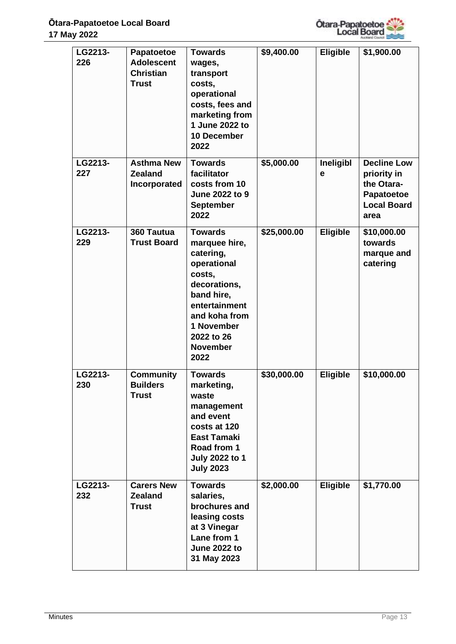

| LG2213-<br>226 | <b>Papatoetoe</b><br><b>Adolescent</b><br><b>Christian</b><br><b>Trust</b> | <b>Towards</b><br>wages,<br>transport<br>costs,<br>operational<br>costs, fees and<br>marketing from<br>1 June 2022 to<br>10 December<br>2022                                                 | \$9,400.00  | Eligible       | \$1,900.00                                                                                  |
|----------------|----------------------------------------------------------------------------|----------------------------------------------------------------------------------------------------------------------------------------------------------------------------------------------|-------------|----------------|---------------------------------------------------------------------------------------------|
| LG2213-<br>227 | <b>Asthma New</b><br><b>Zealand</b><br>Incorporated                        | <b>Towards</b><br>facilitator<br>costs from 10<br>June 2022 to 9<br><b>September</b><br>2022                                                                                                 | \$5,000.00  | Ineligibl<br>е | <b>Decline Low</b><br>priority in<br>the Otara-<br>Papatoetoe<br><b>Local Board</b><br>area |
| LG2213-<br>229 | 360 Tautua<br><b>Trust Board</b>                                           | <b>Towards</b><br>marquee hire,<br>catering,<br>operational<br>costs,<br>decorations,<br>band hire,<br>entertainment<br>and koha from<br>1 November<br>2022 to 26<br><b>November</b><br>2022 | \$25,000.00 | Eligible       | \$10,000.00<br>towards<br>marque and<br>catering                                            |
| LG2213-<br>230 | <b>Community</b><br><b>Builders</b><br><b>Trust</b>                        | <b>Towards</b><br>marketing,<br>waste<br>management<br>and event<br>costs at 120<br><b>East Tamaki</b><br>Road from 1<br><b>July 2022 to 1</b><br><b>July 2023</b>                           | \$30,000.00 | Eligible       | \$10,000.00                                                                                 |
| LG2213-<br>232 | <b>Carers New</b><br><b>Zealand</b><br><b>Trust</b>                        | <b>Towards</b><br>salaries,<br>brochures and<br>leasing costs<br>at 3 Vinegar<br>Lane from 1<br><b>June 2022 to</b><br>31 May 2023                                                           | \$2,000.00  | Eligible       | \$1,770.00                                                                                  |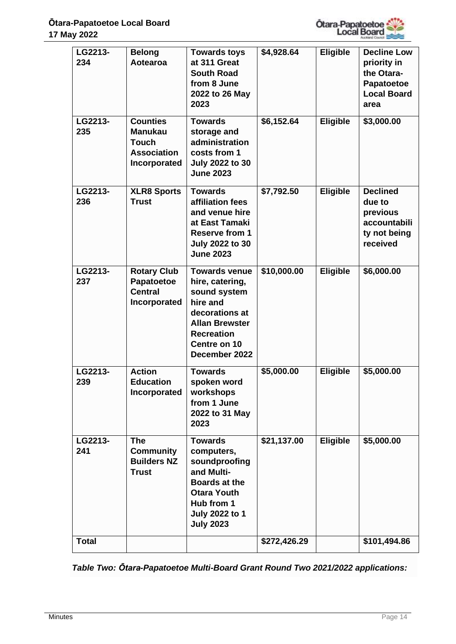

| LG2213-<br>234 | <b>Belong</b><br>Aotearoa                                                               | <b>Towards toys</b><br>at 311 Great<br><b>South Road</b><br>from 8 June<br>2022 to 26 May<br>2023                                                                    | \$4,928.64   | Eligible        | <b>Decline Low</b><br>priority in<br>the Otara-<br>Papatoetoe<br><b>Local Board</b><br>area |
|----------------|-----------------------------------------------------------------------------------------|----------------------------------------------------------------------------------------------------------------------------------------------------------------------|--------------|-----------------|---------------------------------------------------------------------------------------------|
| LG2213-<br>235 | <b>Counties</b><br><b>Manukau</b><br><b>Touch</b><br><b>Association</b><br>Incorporated | <b>Towards</b><br>storage and<br>administration<br>costs from 1<br><b>July 2022 to 30</b><br><b>June 2023</b>                                                        | \$6,152.64   | Eligible        | \$3,000.00                                                                                  |
| LG2213-<br>236 | <b>XLR8 Sports</b><br><b>Trust</b>                                                      | <b>Towards</b><br>affiliation fees<br>and venue hire<br>at East Tamaki<br><b>Reserve from 1</b><br><b>July 2022 to 30</b><br><b>June 2023</b>                        | \$7,792.50   | Eligible        | <b>Declined</b><br>due to<br>previous<br>accountabili<br>ty not being<br>received           |
| LG2213-<br>237 | <b>Rotary Club</b><br>Papatoetoe<br><b>Central</b><br>Incorporated                      | <b>Towards venue</b><br>hire, catering,<br>sound system<br>hire and<br>decorations at<br><b>Allan Brewster</b><br><b>Recreation</b><br>Centre on 10<br>December 2022 | \$10,000.00  | Eligible        | \$6,000.00                                                                                  |
| LG2213-<br>239 | <b>Action</b><br><b>Education</b><br>Incorporated                                       | <b>Towards</b><br>spoken word<br>workshops<br>from 1 June<br>2022 to 31 May<br>2023                                                                                  | \$5,000.00   | Eligible        | \$5,000.00                                                                                  |
| LG2213-<br>241 | <b>The</b><br><b>Community</b><br><b>Builders NZ</b><br><b>Trust</b>                    | <b>Towards</b><br>computers,<br>soundproofing<br>and Multi-<br><b>Boards at the</b><br><b>Otara Youth</b><br>Hub from 1<br><b>July 2022 to 1</b><br><b>July 2023</b> | \$21,137.00  | <b>Eligible</b> | \$5,000.00                                                                                  |
| <b>Total</b>   |                                                                                         |                                                                                                                                                                      | \$272,426.29 |                 | \$101,494.86                                                                                |

*Table Two: Ōtara-Papatoetoe Multi-Board Grant Round Two 2021/2022 applications:*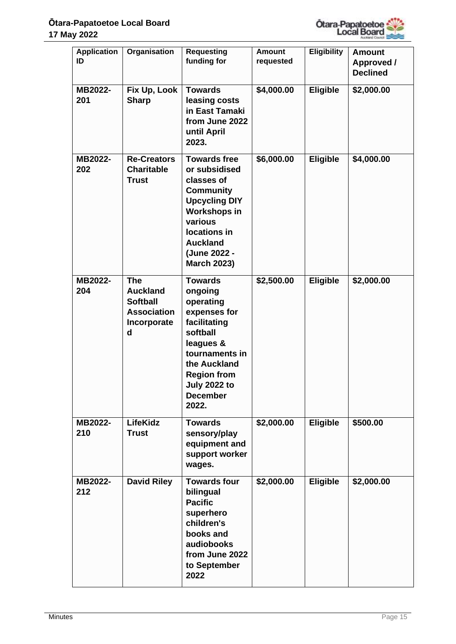

| <b>Application</b><br>ID | Organisation                                                                               | <b>Requesting</b><br>funding for                                                                                                                                                                          | <b>Amount</b><br>requested | <b>Eligibility</b> | <b>Amount</b><br>Approved / |
|--------------------------|--------------------------------------------------------------------------------------------|-----------------------------------------------------------------------------------------------------------------------------------------------------------------------------------------------------------|----------------------------|--------------------|-----------------------------|
|                          |                                                                                            |                                                                                                                                                                                                           |                            |                    | <b>Declined</b>             |
| MB2022-<br>201           | Fix Up, Look<br><b>Sharp</b>                                                               | <b>Towards</b><br>leasing costs<br>in East Tamaki<br>from June 2022<br>until April<br>2023.                                                                                                               | \$4,000.00                 | <b>Eligible</b>    | \$2,000.00                  |
| MB2022-<br>202           | <b>Re-Creators</b><br><b>Charitable</b><br><b>Trust</b>                                    | <b>Towards free</b><br>or subsidised<br>classes of<br><b>Community</b><br><b>Upcycling DIY</b><br><b>Workshops in</b><br>various<br>locations in<br><b>Auckland</b><br>(June 2022 -<br><b>March 2023)</b> | \$6,000.00                 | Eligible           | \$4,000.00                  |
| MB2022-<br>204           | <b>The</b><br><b>Auckland</b><br><b>Softball</b><br><b>Association</b><br>Incorporate<br>d | <b>Towards</b><br>ongoing<br>operating<br>expenses for<br>facilitating<br>softball<br>leagues &<br>tournaments in<br>the Auckland<br><b>Region from</b><br>July 2022 to<br><b>December</b><br>2022.       | \$2,500.00                 | Eligible           | \$2,000.00                  |
| MB2022-<br>210           | <b>LifeKidz</b><br><b>Trust</b>                                                            | <b>Towards</b><br>sensory/play<br>equipment and<br>support worker<br>wages.                                                                                                                               | \$2,000.00                 | <b>Eligible</b>    | \$500.00                    |
| MB2022-<br>212           | <b>David Riley</b>                                                                         | <b>Towards four</b><br>bilingual<br><b>Pacific</b><br>superhero<br>children's<br>books and<br>audiobooks<br>from June 2022<br>to September<br>2022                                                        | \$2,000.00                 | <b>Eligible</b>    | \$2,000.00                  |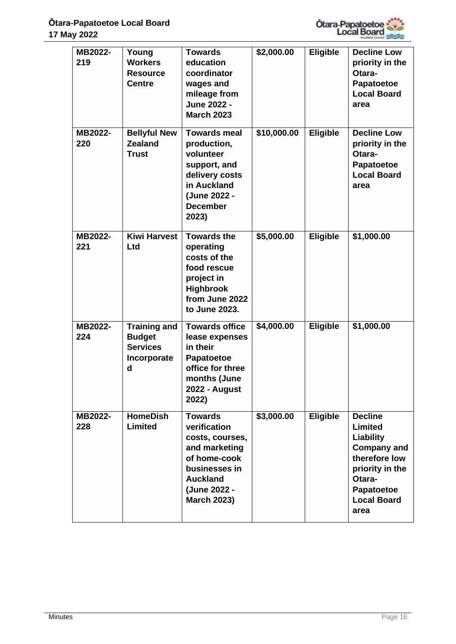

| MB2022-<br>219 | Young<br><b>Workers</b><br><b>Resource</b><br><b>Centre</b>                 | <b>Towards</b><br>education<br>coordinator<br>wages and<br>mileage from<br>June 2022 -<br><b>March 2023</b>                                                  | \$2,000.00  | <b>Eligible</b> | <b>Decline Low</b><br>priority in the<br>Otara-<br>Papatoetoe<br><b>Local Board</b><br>area                                                                   |
|----------------|-----------------------------------------------------------------------------|--------------------------------------------------------------------------------------------------------------------------------------------------------------|-------------|-----------------|---------------------------------------------------------------------------------------------------------------------------------------------------------------|
| MB2022-<br>220 | <b>Bellyful New</b><br><b>Zealand</b><br><b>Trust</b>                       | Towards meal<br>production,<br>volunteer<br>support, and<br>delivery costs<br>in Auckland<br>(June 2022 -<br><b>December</b><br>2023)                        | \$10,000.00 | <b>Eligible</b> | <b>Decline Low</b><br>priority in the<br>Otara-<br>Papatoetoe<br><b>Local Board</b><br>area                                                                   |
| MB2022-<br>221 | <b>Kiwi Harvest</b><br>Ltd                                                  | <b>Towards the</b><br>operating<br>costs of the<br>food rescue<br>project in<br><b>Highbrook</b><br>from June 2022<br>to June 2023.                          | \$5,000.00  | <b>Eligible</b> | \$1,000.00                                                                                                                                                    |
| MB2022-<br>224 | <b>Training and</b><br><b>Budget</b><br><b>Services</b><br>Incorporate<br>d | <b>Towards office</b><br>lease expenses<br>in their<br>Papatoetoe<br>office for three<br>months (June<br>2022 - August<br>2022)                              | \$4,000.00  | Eligible        | \$1,000.00                                                                                                                                                    |
| MB2022-<br>228 | <b>HomeDish</b><br><b>Limited</b>                                           | <b>Towards</b><br>verification<br>costs, courses,<br>and marketing<br>of home-cook<br>businesses in<br><b>Auckland</b><br>(June 2022 -<br><b>March 2023)</b> | \$3,000.00  | <b>Eligible</b> | <b>Decline</b><br><b>Limited</b><br>Liability<br><b>Company and</b><br>therefore low<br>priority in the<br>Otara-<br>Papatoetoe<br><b>Local Board</b><br>area |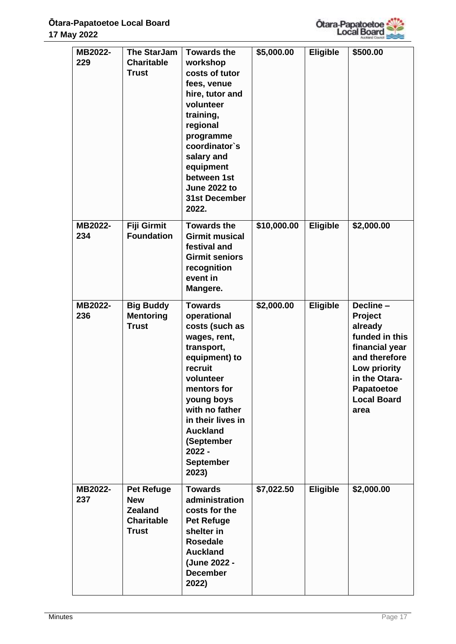

| MB2022-<br>229 | <b>The StarJam</b><br><b>Charitable</b><br><b>Trust</b>                                | <b>Towards the</b><br>workshop<br>costs of tutor<br>fees, venue<br>hire, tutor and<br>volunteer<br>training,<br>regional<br>programme<br>coordinator's<br>salary and<br>equipment<br>between 1st<br><b>June 2022 to</b>                                              | \$5,000.00  | <b>Eligible</b> | \$500.00                                                                                                                                                         |
|----------------|----------------------------------------------------------------------------------------|----------------------------------------------------------------------------------------------------------------------------------------------------------------------------------------------------------------------------------------------------------------------|-------------|-----------------|------------------------------------------------------------------------------------------------------------------------------------------------------------------|
|                |                                                                                        | <b>31st December</b><br>2022.                                                                                                                                                                                                                                        |             |                 |                                                                                                                                                                  |
| MB2022-<br>234 | <b>Fiji Girmit</b><br><b>Foundation</b>                                                | <b>Towards the</b><br><b>Girmit musical</b><br>festival and<br><b>Girmit seniors</b><br>recognition<br>event in<br>Mangere.                                                                                                                                          | \$10,000.00 | Eligible        | \$2,000.00                                                                                                                                                       |
| MB2022-<br>236 | <b>Big Buddy</b><br><b>Mentoring</b><br><b>Trust</b>                                   | <b>Towards</b><br>operational<br>costs (such as<br>wages, rent,<br>transport,<br>equipment) to<br>recruit<br>volunteer<br>mentors for<br>young boys<br>with no father<br>in their lives in<br><b>Auckland</b><br>(September<br>$2022 -$<br><b>September</b><br>2023) | \$2,000.00  | <b>Eligible</b> | Decline-<br>Project<br>already<br>funded in this<br>financial year<br>and therefore<br>Low priority<br>in the Otara-<br>Papatoetoe<br><b>Local Board</b><br>area |
| MB2022-<br>237 | <b>Pet Refuge</b><br><b>New</b><br><b>Zealand</b><br><b>Charitable</b><br><b>Trust</b> | <b>Towards</b><br>administration<br>costs for the<br><b>Pet Refuge</b><br>shelter in<br><b>Rosedale</b><br><b>Auckland</b><br>(June 2022 -<br><b>December</b><br>2022)                                                                                               | \$7,022.50  | <b>Eligible</b> | \$2,000.00                                                                                                                                                       |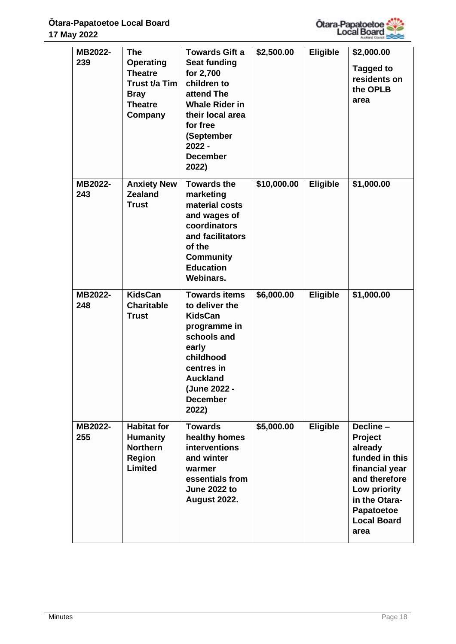

| MB2022-<br>239 | <b>The</b><br><b>Operating</b><br><b>Theatre</b><br>Trust t/a Tim<br><b>Bray</b><br><b>Theatre</b><br>Company | <b>Towards Gift a</b><br><b>Seat funding</b><br>for 2,700<br>children to<br>attend The<br><b>Whale Rider in</b><br>their local area<br>for free<br>(September<br>$2022 -$<br><b>December</b><br>2022) | \$2,500.00  | Eligible        | \$2,000.00<br>Tagged to<br>residents on<br>the OPLB<br>area                                                                                                       |
|----------------|---------------------------------------------------------------------------------------------------------------|-------------------------------------------------------------------------------------------------------------------------------------------------------------------------------------------------------|-------------|-----------------|-------------------------------------------------------------------------------------------------------------------------------------------------------------------|
| MB2022-<br>243 | <b>Anxiety New</b><br><b>Zealand</b><br><b>Trust</b>                                                          | <b>Towards the</b><br>marketing<br>material costs<br>and wages of<br>coordinators<br>and facilitators<br>of the<br><b>Community</b><br><b>Education</b><br><b>Webinars.</b>                           | \$10,000.00 | <b>Eligible</b> | \$1,000.00                                                                                                                                                        |
| MB2022-<br>248 | <b>KidsCan</b><br><b>Charitable</b><br><b>Trust</b>                                                           | <b>Towards items</b><br>to deliver the<br><b>KidsCan</b><br>programme in<br>schools and<br>early<br>childhood<br>centres in<br><b>Auckland</b><br>(June 2022 -<br><b>December</b><br>2022)            | \$6,000.00  | Eligible        | \$1,000.00                                                                                                                                                        |
| MB2022-<br>255 | <b>Habitat for</b><br><b>Humanity</b><br><b>Northern</b><br><b>Region</b><br><b>Limited</b>                   | <b>Towards</b><br>healthy homes<br>interventions<br>and winter<br>warmer<br>essentials from<br><b>June 2022 to</b><br><b>August 2022.</b>                                                             | \$5,000.00  | <b>Eligible</b> | Decline -<br>Project<br>already<br>funded in this<br>financial year<br>and therefore<br>Low priority<br>in the Otara-<br>Papatoetoe<br><b>Local Board</b><br>area |